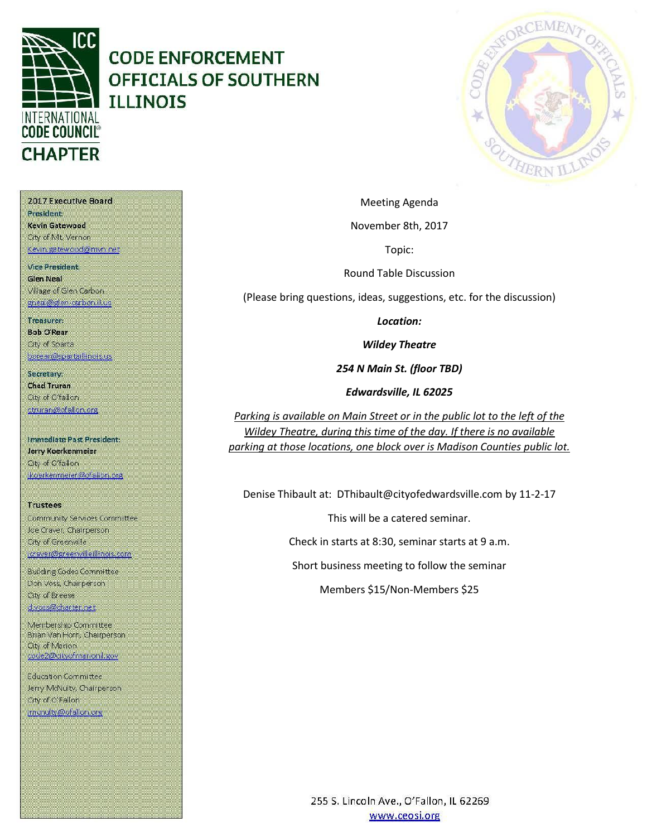

# **CODE ENFORCEMENT OFFICIALS OF SOUTHERN ILLINOIS**



Meeting Agenda

November 8th, 2017

Topic:

Round Table Discussion

(Please bring questions, ideas, suggestions, etc. for the discussion)

*Location:*

*Wildey Theatre*

*254 N Main St. (floor TBD)*

*Edwardsville, IL 62025*

*Parking is available on Main Street or in the public lot to the left of the Wildey Theatre, during this time of the day. If there is no available parking at those locations, one block over is Madison Counties public lot.*

Denise Thibault at: DThibault@cityofedwardsville.com by 11-2-17

This will be a catered seminar.

Check in starts at 8:30, seminar starts at 9 a.m.

Short business meeting to follow the seminar

Members \$15/Non-Members \$25

2017 Executive Board President Kevin Gatewood City of Mt. Vernon Kevin gatewood@nivn net

**Vice President. Glen Neal** Village of Glen Carbon gneal@glen-carbon.il.uc

Treasurer:

**Bob O'Rear Oty of Sparta** borear@spartaillinois.us

Secretary: **Chad Truran** City of O'fallon. ctruran@ofallon.org

**Immediate Past President:** Jerry Koerkenmeier Oty of O'fallon (koerkenmerer@ofallon.org

**Trustees** Community Services Committee Joe Craver, Chairperson City of Greenville joraver@greenvilleillinois.com

**Building Codes Committee** Don Voss, Chairperson. City of Breese d.voss@charter.net

Membership Committee Brian Van Horn, Chairperson **City of Marion** code2@dityofmarionil.gov

Education Committee Jerry McNulty, Chairperson City of O'Fallon imenuity@ofallor.org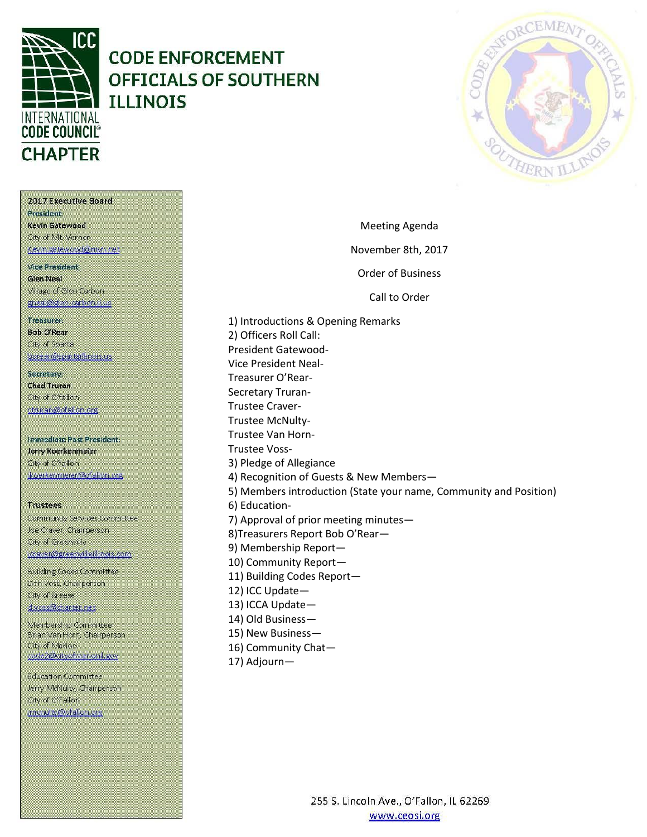

# **CODE ENFORCEMENT OFFICIALS OF SOUTHERN ILLINOIS**



2017 Executive Board **President** Kevin Gatewood City of Mt. Vernon Kevin, gatewood@mvn.net **Vice President. Glen Neal** 

Village of Glen Carbon gneal@glen-carbon.il.uc

### Treasurer:

**Bob O'Rear** Oty of Sparta borear@spartaillinois.us

Secretary: **Chad Truran** City of O'fallon. ctruran@ofallon.org

**Immediate Past President:** Jerry Koerkenmeier Oty of O'fallon (koerkenmerer@ofallon.org

#### **Trustees**

Community Services Committee Joe Craver, Chairperson City of Greenville joraver@greenvilleillinois.com

**Building Codes Committee** Don Voss, Chairperson. City of Breese d.voss@charter.net

Membership Committee Brian Van Horn, Chairperson **City of Marion** code2@dityofmarionil.gov

Education Committee Jerry McNulty, Chairperson City of O'Fallon imenulty@ofallor.org

Meeting Agenda November 8th, 2017 Order of Business Call to Order 1) Introductions & Opening Remarks

2) Officers Roll Call: President Gatewood-Vice President Neal-Treasurer O'Rear-Secretary Truran-Trustee Craver-Trustee McNulty-Trustee Van Horn-Trustee Voss-3) Pledge of Allegiance 4) Recognition of Guests & New Members— 5) Members introduction (State your name, Community and Position) 6) Education-7) Approval of prior meeting minutes— 8)Treasurers Report Bob O'Rear— 9) Membership Report—

- 10) Community Report—
- 11) Building Codes Report—
- 12) ICC Update—
- 13) ICCA Update—
- 14) Old Business—
- 15) New Business—
- 16) Community Chat—
- 17) Adjourn—